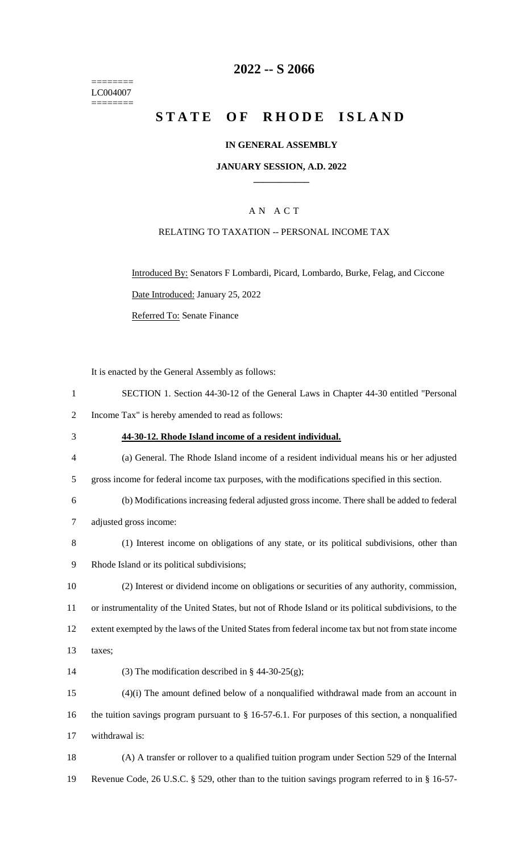======== LC004007  $=$ 

## **2022 -- S 2066**

# **STATE OF RHODE ISLAND**

#### **IN GENERAL ASSEMBLY**

#### **JANUARY SESSION, A.D. 2022 \_\_\_\_\_\_\_\_\_\_\_\_**

## A N A C T

## RELATING TO TAXATION -- PERSONAL INCOME TAX

Introduced By: Senators F Lombardi, Picard, Lombardo, Burke, Felag, and Ciccone Date Introduced: January 25, 2022

Referred To: Senate Finance

It is enacted by the General Assembly as follows:

| $\mathbf{1}$   | SECTION 1. Section 44-30-12 of the General Laws in Chapter 44-30 entitled "Personal                    |
|----------------|--------------------------------------------------------------------------------------------------------|
| $\overline{2}$ | Income Tax" is hereby amended to read as follows:                                                      |
| 3              | 44-30-12. Rhode Island income of a resident individual.                                                |
| $\overline{4}$ | (a) General. The Rhode Island income of a resident individual means his or her adjusted                |
| 5              | gross income for federal income tax purposes, with the modifications specified in this section.        |
| 6              | (b) Modifications increasing federal adjusted gross income. There shall be added to federal            |
| $\tau$         | adjusted gross income:                                                                                 |
| 8              | (1) Interest income on obligations of any state, or its political subdivisions, other than             |
| 9              | Rhode Island or its political subdivisions;                                                            |
| 10             | (2) Interest or dividend income on obligations or securities of any authority, commission,             |
| 11             | or instrumentality of the United States, but not of Rhode Island or its political subdivisions, to the |
| 12             | extent exempted by the laws of the United States from federal income tax but not from state income     |
| 13             | taxes;                                                                                                 |
| 14             | (3) The modification described in § 44-30-25(g);                                                       |
| 15             | $(4)(i)$ The amount defined below of a nonqualified withdrawal made from an account in                 |
| 16             | the tuition savings program pursuant to $\S$ 16-57-6.1. For purposes of this section, a nonqualified   |
| 17             | withdrawal is:                                                                                         |
| 18             | (A) A transfer or rollover to a qualified tuition program under Section 529 of the Internal            |
| 19             | Revenue Code, 26 U.S.C. § 529, other than to the tuition savings program referred to in § 16-57-       |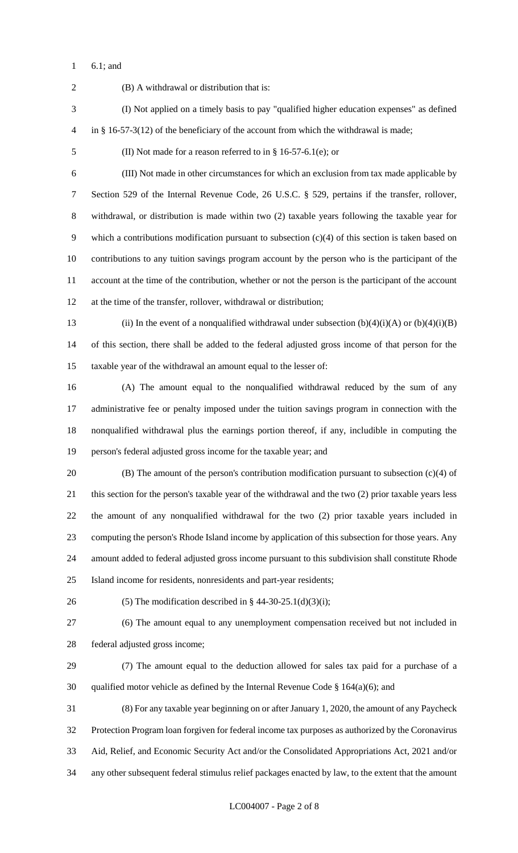6.1; and

 (B) A withdrawal or distribution that is: (I) Not applied on a timely basis to pay "qualified higher education expenses" as defined in § 16-57-3(12) of the beneficiary of the account from which the withdrawal is made; (II) Not made for a reason referred to in § 16-57-6.1(e); or (III) Not made in other circumstances for which an exclusion from tax made applicable by Section 529 of the Internal Revenue Code, 26 U.S.C. § 529, pertains if the transfer, rollover, withdrawal, or distribution is made within two (2) taxable years following the taxable year for which a contributions modification pursuant to subsection (c)(4) of this section is taken based on contributions to any tuition savings program account by the person who is the participant of the account at the time of the contribution, whether or not the person is the participant of the account at the time of the transfer, rollover, withdrawal or distribution; 13 (ii) In the event of a nonqualified withdrawal under subsection  $(b)(4)(i)(A)$  or  $(b)(4)(i)(B)$  of this section, there shall be added to the federal adjusted gross income of that person for the taxable year of the withdrawal an amount equal to the lesser of: (A) The amount equal to the nonqualified withdrawal reduced by the sum of any administrative fee or penalty imposed under the tuition savings program in connection with the nonqualified withdrawal plus the earnings portion thereof, if any, includible in computing the person's federal adjusted gross income for the taxable year; and (B) The amount of the person's contribution modification pursuant to subsection (c)(4) of this section for the person's taxable year of the withdrawal and the two (2) prior taxable years less the amount of any nonqualified withdrawal for the two (2) prior taxable years included in computing the person's Rhode Island income by application of this subsection for those years. Any amount added to federal adjusted gross income pursuant to this subdivision shall constitute Rhode Island income for residents, nonresidents and part-year residents; 26 (5) The modification described in  $\S$  44-30-25.1(d)(3)(i); (6) The amount equal to any unemployment compensation received but not included in federal adjusted gross income; (7) The amount equal to the deduction allowed for sales tax paid for a purchase of a 30 qualified motor vehicle as defined by the Internal Revenue Code  $\S$  164(a)(6); and (8) For any taxable year beginning on or after January 1, 2020, the amount of any Paycheck Protection Program loan forgiven for federal income tax purposes as authorized by the Coronavirus Aid, Relief, and Economic Security Act and/or the Consolidated Appropriations Act, 2021 and/or any other subsequent federal stimulus relief packages enacted by law, to the extent that the amount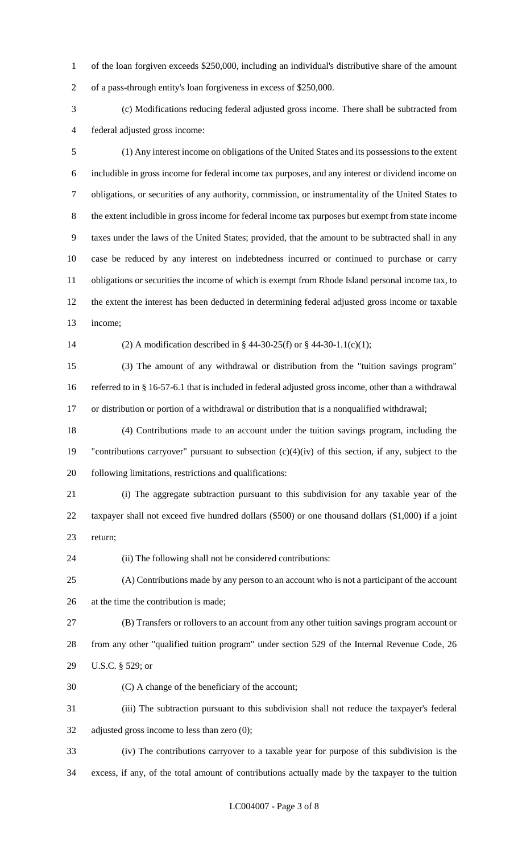of the loan forgiven exceeds \$250,000, including an individual's distributive share of the amount of a pass-through entity's loan forgiveness in excess of \$250,000.

 (c) Modifications reducing federal adjusted gross income. There shall be subtracted from federal adjusted gross income:

 (1) Any interest income on obligations of the United States and its possessions to the extent includible in gross income for federal income tax purposes, and any interest or dividend income on obligations, or securities of any authority, commission, or instrumentality of the United States to the extent includible in gross income for federal income tax purposes but exempt from state income taxes under the laws of the United States; provided, that the amount to be subtracted shall in any case be reduced by any interest on indebtedness incurred or continued to purchase or carry obligations or securities the income of which is exempt from Rhode Island personal income tax, to the extent the interest has been deducted in determining federal adjusted gross income or taxable income;

(2) A modification described in § 44-30-25(f) or § 44-30-1.1(c)(1);

 (3) The amount of any withdrawal or distribution from the "tuition savings program" referred to in § 16-57-6.1 that is included in federal adjusted gross income, other than a withdrawal or distribution or portion of a withdrawal or distribution that is a nonqualified withdrawal;

 (4) Contributions made to an account under the tuition savings program, including the "contributions carryover" pursuant to subsection (c)(4)(iv) of this section, if any, subject to the following limitations, restrictions and qualifications:

 (i) The aggregate subtraction pursuant to this subdivision for any taxable year of the taxpayer shall not exceed five hundred dollars (\$500) or one thousand dollars (\$1,000) if a joint return;

(ii) The following shall not be considered contributions:

 (A) Contributions made by any person to an account who is not a participant of the account at the time the contribution is made;

 (B) Transfers or rollovers to an account from any other tuition savings program account or from any other "qualified tuition program" under section 529 of the Internal Revenue Code, 26 U.S.C. § 529; or

(C) A change of the beneficiary of the account;

 (iii) The subtraction pursuant to this subdivision shall not reduce the taxpayer's federal adjusted gross income to less than zero (0);

 (iv) The contributions carryover to a taxable year for purpose of this subdivision is the excess, if any, of the total amount of contributions actually made by the taxpayer to the tuition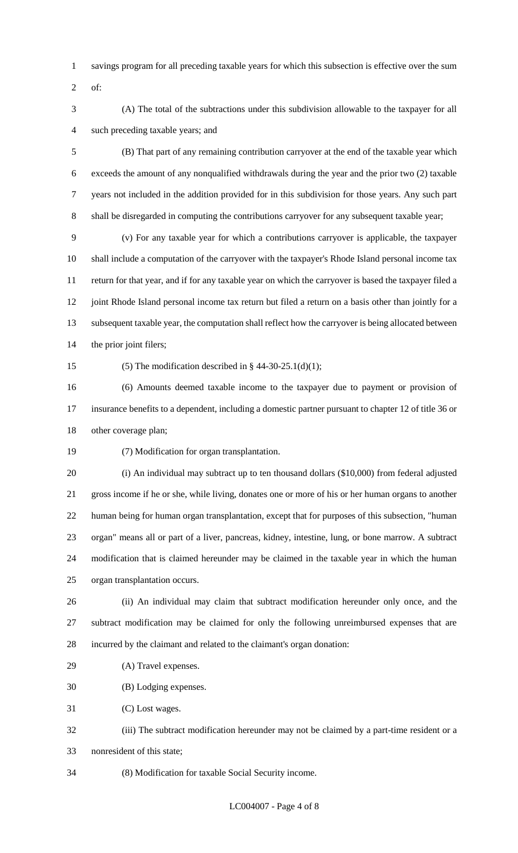- savings program for all preceding taxable years for which this subsection is effective over the sum
- of:
- (A) The total of the subtractions under this subdivision allowable to the taxpayer for all such preceding taxable years; and

 (B) That part of any remaining contribution carryover at the end of the taxable year which exceeds the amount of any nonqualified withdrawals during the year and the prior two (2) taxable years not included in the addition provided for in this subdivision for those years. Any such part shall be disregarded in computing the contributions carryover for any subsequent taxable year;

 (v) For any taxable year for which a contributions carryover is applicable, the taxpayer shall include a computation of the carryover with the taxpayer's Rhode Island personal income tax return for that year, and if for any taxable year on which the carryover is based the taxpayer filed a 12 joint Rhode Island personal income tax return but filed a return on a basis other than jointly for a subsequent taxable year, the computation shall reflect how the carryover is being allocated between the prior joint filers;

15 (5) The modification described in  $\S$  44-30-25.1(d)(1);

 (6) Amounts deemed taxable income to the taxpayer due to payment or provision of insurance benefits to a dependent, including a domestic partner pursuant to chapter 12 of title 36 or other coverage plan;

(7) Modification for organ transplantation.

 (i) An individual may subtract up to ten thousand dollars (\$10,000) from federal adjusted gross income if he or she, while living, donates one or more of his or her human organs to another human being for human organ transplantation, except that for purposes of this subsection, "human organ" means all or part of a liver, pancreas, kidney, intestine, lung, or bone marrow. A subtract modification that is claimed hereunder may be claimed in the taxable year in which the human organ transplantation occurs.

 (ii) An individual may claim that subtract modification hereunder only once, and the subtract modification may be claimed for only the following unreimbursed expenses that are incurred by the claimant and related to the claimant's organ donation:

(A) Travel expenses.

(B) Lodging expenses.

(C) Lost wages.

 (iii) The subtract modification hereunder may not be claimed by a part-time resident or a nonresident of this state;

(8) Modification for taxable Social Security income.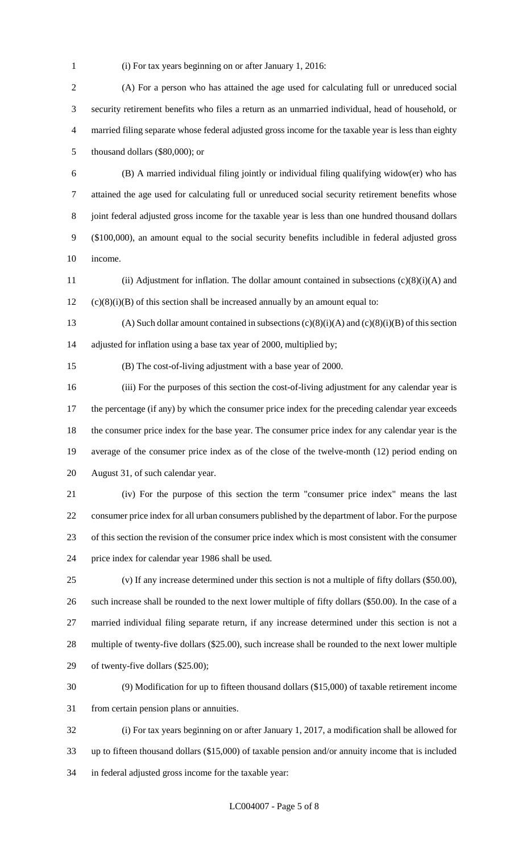(i) For tax years beginning on or after January 1, 2016:

 (A) For a person who has attained the age used for calculating full or unreduced social security retirement benefits who files a return as an unmarried individual, head of household, or married filing separate whose federal adjusted gross income for the taxable year is less than eighty thousand dollars (\$80,000); or

 (B) A married individual filing jointly or individual filing qualifying widow(er) who has attained the age used for calculating full or unreduced social security retirement benefits whose joint federal adjusted gross income for the taxable year is less than one hundred thousand dollars (\$100,000), an amount equal to the social security benefits includible in federal adjusted gross income.

 (ii) Adjustment for inflation. The dollar amount contained in subsections (c)(8)(i)(A) and (c)(8)(i)(B) of this section shall be increased annually by an amount equal to:

13 (A) Such dollar amount contained in subsections  $(c)(8)(i)(A)$  and  $(c)(8)(i)(B)$  of this section adjusted for inflation using a base tax year of 2000, multiplied by;

(B) The cost-of-living adjustment with a base year of 2000.

 (iii) For the purposes of this section the cost-of-living adjustment for any calendar year is 17 the percentage (if any) by which the consumer price index for the preceding calendar year exceeds the consumer price index for the base year. The consumer price index for any calendar year is the average of the consumer price index as of the close of the twelve-month (12) period ending on August 31, of such calendar year.

 (iv) For the purpose of this section the term "consumer price index" means the last consumer price index for all urban consumers published by the department of labor. For the purpose of this section the revision of the consumer price index which is most consistent with the consumer price index for calendar year 1986 shall be used.

 (v) If any increase determined under this section is not a multiple of fifty dollars (\$50.00), such increase shall be rounded to the next lower multiple of fifty dollars (\$50.00). In the case of a married individual filing separate return, if any increase determined under this section is not a multiple of twenty-five dollars (\$25.00), such increase shall be rounded to the next lower multiple of twenty-five dollars (\$25.00);

 (9) Modification for up to fifteen thousand dollars (\$15,000) of taxable retirement income from certain pension plans or annuities.

 (i) For tax years beginning on or after January 1, 2017, a modification shall be allowed for up to fifteen thousand dollars (\$15,000) of taxable pension and/or annuity income that is included in federal adjusted gross income for the taxable year: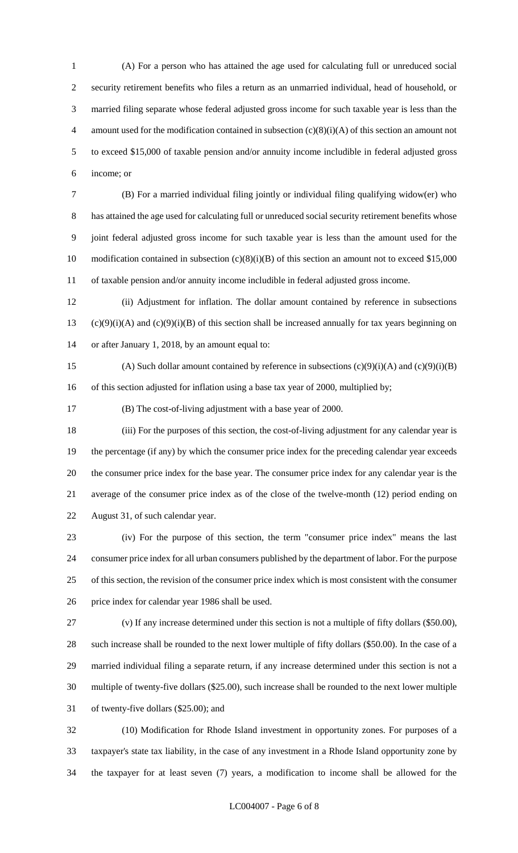(A) For a person who has attained the age used for calculating full or unreduced social security retirement benefits who files a return as an unmarried individual, head of household, or married filing separate whose federal adjusted gross income for such taxable year is less than the 4 amount used for the modification contained in subsection  $(c)(8)(i)(A)$  of this section an amount not to exceed \$15,000 of taxable pension and/or annuity income includible in federal adjusted gross income; or

 (B) For a married individual filing jointly or individual filing qualifying widow(er) who has attained the age used for calculating full or unreduced social security retirement benefits whose joint federal adjusted gross income for such taxable year is less than the amount used for the 10 modification contained in subsection (c)(8)(i)(B) of this section an amount not to exceed \$15,000 of taxable pension and/or annuity income includible in federal adjusted gross income.

 (ii) Adjustment for inflation. The dollar amount contained by reference in subsections 13 (c)(9)(i)(A) and (c)(9)(i)(B) of this section shall be increased annually for tax years beginning on or after January 1, 2018, by an amount equal to:

15 (A) Such dollar amount contained by reference in subsections  $(c)(9)(i)(A)$  and  $(c)(9)(i)(B)$ 16 of this section adjusted for inflation using a base tax year of 2000, multiplied by;

(B) The cost-of-living adjustment with a base year of 2000.

 (iii) For the purposes of this section, the cost-of-living adjustment for any calendar year is the percentage (if any) by which the consumer price index for the preceding calendar year exceeds the consumer price index for the base year. The consumer price index for any calendar year is the average of the consumer price index as of the close of the twelve-month (12) period ending on August 31, of such calendar year.

 (iv) For the purpose of this section, the term "consumer price index" means the last consumer price index for all urban consumers published by the department of labor. For the purpose of this section, the revision of the consumer price index which is most consistent with the consumer price index for calendar year 1986 shall be used.

 (v) If any increase determined under this section is not a multiple of fifty dollars (\$50.00), such increase shall be rounded to the next lower multiple of fifty dollars (\$50.00). In the case of a married individual filing a separate return, if any increase determined under this section is not a multiple of twenty-five dollars (\$25.00), such increase shall be rounded to the next lower multiple of twenty-five dollars (\$25.00); and

 (10) Modification for Rhode Island investment in opportunity zones. For purposes of a taxpayer's state tax liability, in the case of any investment in a Rhode Island opportunity zone by the taxpayer for at least seven (7) years, a modification to income shall be allowed for the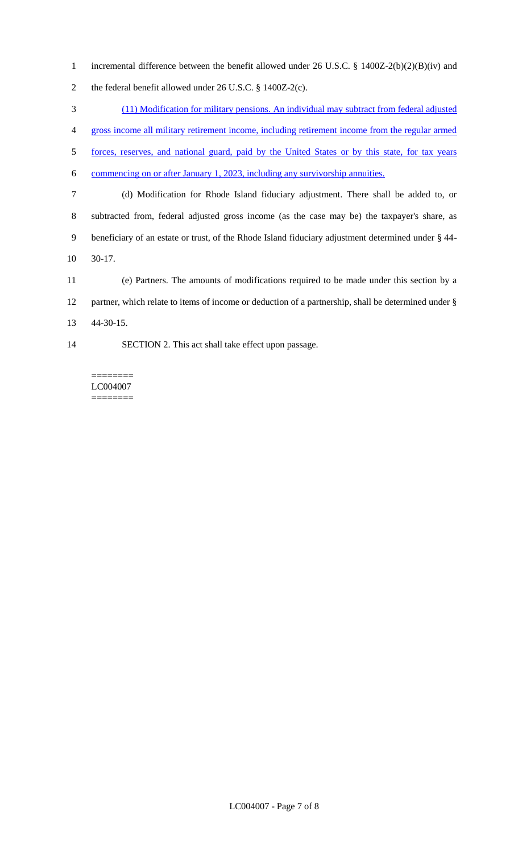incremental difference between the benefit allowed under 26 U.S.C. § 1400Z-2(b)(2)(B)(iv) and the federal benefit allowed under 26 U.S.C. § 1400Z-2(c).

 (11) Modification for military pensions. An individual may subtract from federal adjusted gross income all military retirement income, including retirement income from the regular armed forces, reserves, and national guard, paid by the United States or by this state, for tax years commencing on or after January 1, 2023, including any survivorship annuities. (d) Modification for Rhode Island fiduciary adjustment. There shall be added to, or subtracted from, federal adjusted gross income (as the case may be) the taxpayer's share, as beneficiary of an estate or trust, of the Rhode Island fiduciary adjustment determined under § 44- 30-17.

 (e) Partners. The amounts of modifications required to be made under this section by a partner, which relate to items of income or deduction of a partnership, shall be determined under § 44-30-15.

SECTION 2. This act shall take effect upon passage.

======== LC004007 ========